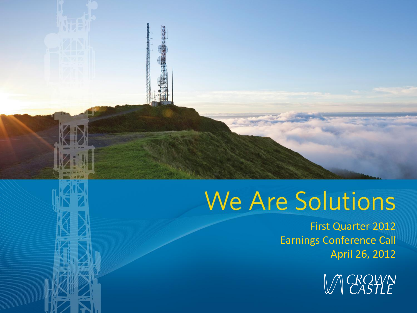# We Are Solutions

First Quarter 2012 Earnings Conference Call April 26, 2012

**MCROWN**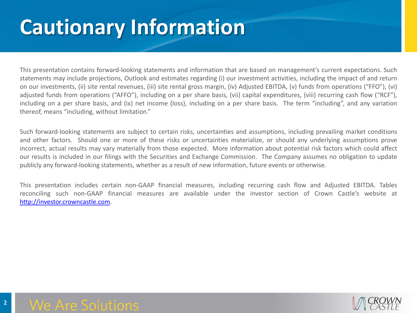#### **Cautionary Information**

This presentation contains forward-looking statements and information that are based on management's current expectations. Such statements may include projections, Outlook and estimates regarding (i) our investment activities, including the impact of and return on our investments, (ii) site rental revenues, (iii) site rental gross margin, (iv) Adjusted EBITDA, (v) funds from operations ("FFO"), (vi) adjusted funds from operations ("AFFO"), including on a per share basis, (vii) capital expenditures, (viii) recurring cash flow ("RCF"), including on a per share basis, and (ix) net income (loss), including on a per share basis. The term "including", and any variation thereof, means "including, without limitation."

Such forward-looking statements are subject to certain risks, uncertainties and assumptions, including prevailing market conditions and other factors. Should one or more of these risks or uncertainties materialize, or should any underlying assumptions prove incorrect, actual results may vary materially from those expected. More information about potential risk factors which could affect our results is included in our filings with the Securities and Exchange Commission. The Company assumes no obligation to update publicly any forward-looking statements, whether as a result of new information, future events or otherwise.

This presentation includes certain non-GAAP financial measures, including recurring cash flow and Adjusted EBITDA. Tables reconciling such non-GAAP financial measures are available under the investor section of Crown Castle's website at [http://investor.crowncastle.com](http://investor.crowncastle.com/).

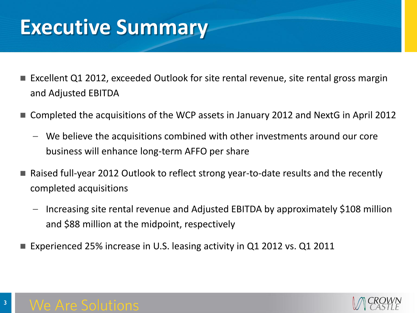#### **Executive Summary**

- Excellent Q1 2012, exceeded Outlook for site rental revenue, site rental gross margin and Adjusted EBITDA
- Completed the acquisitions of the WCP assets in January 2012 and NextG in April 2012
	- We believe the acquisitions combined with other investments around our core business will enhance long-term AFFO per share
- Raised full-year 2012 Outlook to reflect strong year-to-date results and the recently completed acquisitions
	- Increasing site rental revenue and Adjusted EBITDA by approximately \$108 million and \$88 million at the midpoint, respectively
- Experienced 25% increase in U.S. leasing activity in Q1 2012 vs. Q1 2011

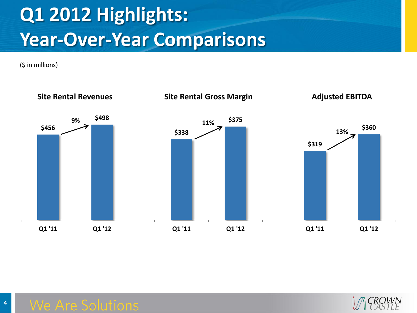## **Q1 2012 Highlights: Year-Over-Year Comparisons**

(\$ in millions)



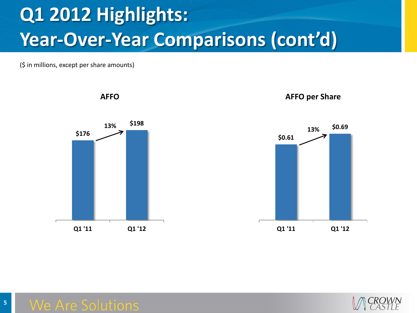#### **Q1 2012 Highlights: Year-Over-Year Comparisons (cont'd)**

(\$ in millions, except per share amounts)









#### **Are Solutions**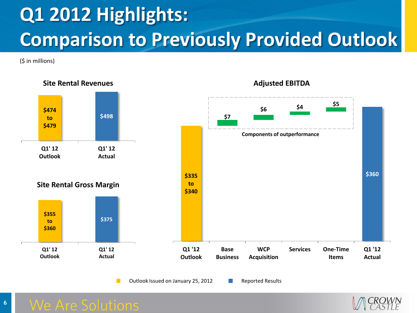### **Q1 2012 Highlights: Comparison to Previously Provided Outlook**

(\$ in millions)



Outlook Issued on January 25, 2012 Reported Results

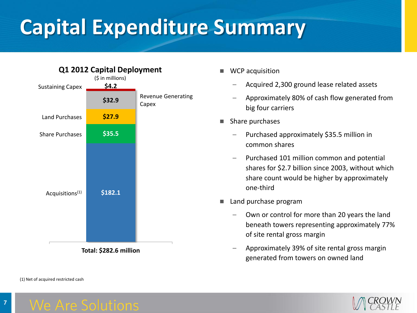## **Capital Expenditure Summary**



**Total: \$282.6 million**

(1) Net of acquired restricted cash

- WCP acquisition
	- Acquired 2,300 ground lease related assets
	- Approximately 80% of cash flow generated from big four carriers
- $\blacksquare$  Share purchases
	- Purchased approximately \$35.5 million in common shares
	- Purchased 101 million common and potential shares for \$2.7 billion since 2003, without which share count would be higher by approximately one-third
- Land purchase program
	- Own or control for more than 20 years the land beneath towers representing approximately 77% of site rental gross margin
	- Approximately 39% of site rental gross margin generated from towers on owned land

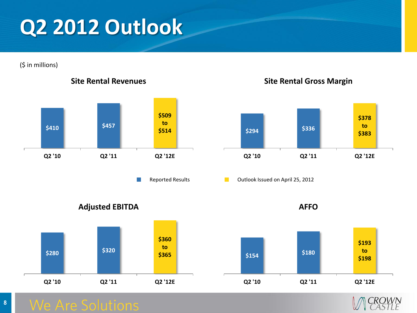#### **Q2 2012 Outlook**

(\$ in millions)



#### **Site Rental Revenues**

 $\sim$ 





Reported Results **Container Coutlook Issued on April 25, 2012** 

**Adjusted EBITDA**